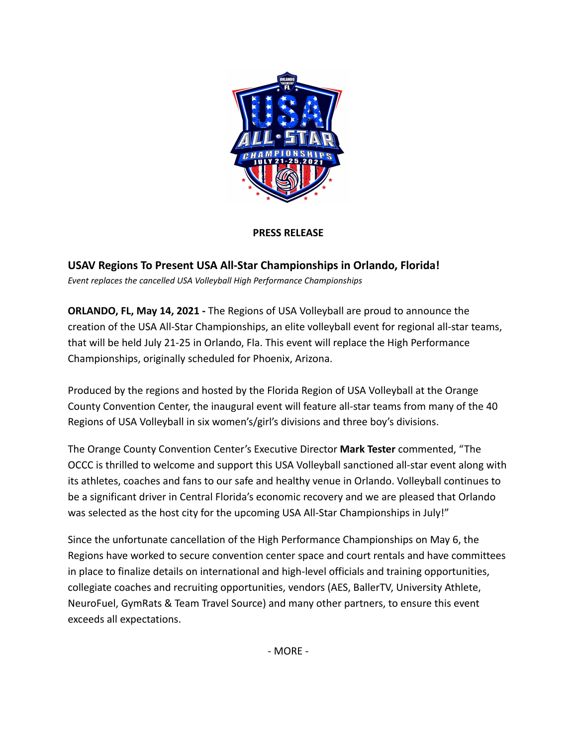

## **PRESS RELEASE**

**USAV Regions To Present USA All-Star Championships in Orlando, Florida!** *Event replaces the cancelled USA Volleyball High Performance Championships*

**ORLANDO, FL, May 14, 2021 -** The Regions of USA Volleyball are proud to announce the creation of the USA All-Star Championships, an elite volleyball event for regional all-star teams, that will be held July 21-25 in Orlando, Fla. This event will replace the High Performance Championships, originally scheduled for Phoenix, Arizona.

Produced by the regions and hosted by the Florida Region of USA Volleyball at the Orange County Convention Center, the inaugural event will feature all-star teams from many of the 40 Regions of USA Volleyball in six women's/girl's divisions and three boy's divisions.

The Orange County Convention Center's Executive Director **Mark Tester** commented, "The OCCC is thrilled to welcome and support this USA Volleyball sanctioned all-star event along with its athletes, coaches and fans to our safe and healthy venue in Orlando. Volleyball continues to be a significant driver in Central Florida's economic recovery and we are pleased that Orlando was selected as the host city for the upcoming USA All-Star Championships in July!"

Since the unfortunate cancellation of the High Performance Championships on May 6, the Regions have worked to secure convention center space and court rentals and have committees in place to finalize details on international and high-level officials and training opportunities, collegiate coaches and recruiting opportunities, vendors (AES, BallerTV, University Athlete, NeuroFuel, GymRats & Team Travel Source) and many other partners, to ensure this event exceeds all expectations.

- MORE -